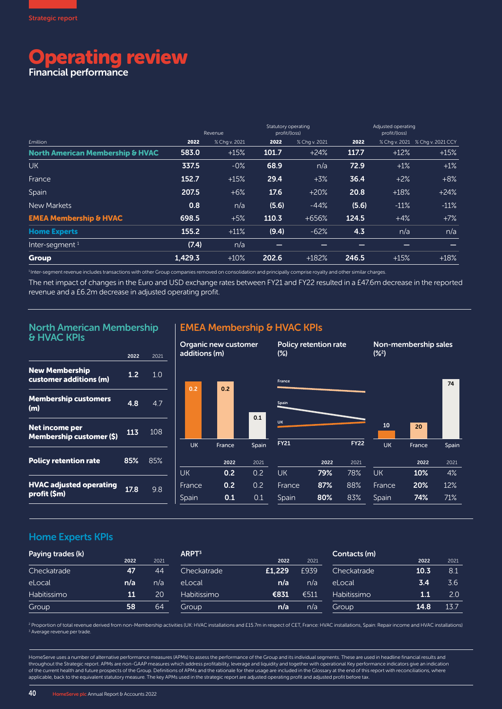# perating review

Financial performance

|                                             |         | Revenue       | Statutory operating<br>profit/(loss) |                          | Adjusted operating<br>profit/(loss) |                   |                                 |
|---------------------------------------------|---------|---------------|--------------------------------------|--------------------------|-------------------------------------|-------------------|---------------------------------|
| <b>£million</b>                             | 2022    | % Chg v. 2021 | 2022                                 | % Chg v. 2021            | 2022                                |                   | % Chq v. 2021 % Chq v. 2021 CCY |
| <b>North American Membership &amp; HVAC</b> | 583.0   | $+15%$        | 101.7                                | $+24%$                   | 117.7                               | $+12%$            | $+15%$                          |
| <b>UK</b>                                   | 337.5   | $-0\%$        | 68.9                                 | n/a                      | 72.9                                | $+1%$             | $+1%$                           |
| France                                      | 152.7   | $+15%$        | 29.4                                 | $+3%$                    | 36.4                                | $+2%$             | $+8%$                           |
| Spain                                       | 207.5   | $+6%$         | 17.6                                 | $+20%$                   | 20.8                                | $+18%$            | $+24%$                          |
| New Markets                                 | 0.8     | n/a           | (5.6)                                | $-44%$                   | (5.6)                               | $-11%$            | $-11%$                          |
| <b>EMEA Membership &amp; HVAC</b>           | 698.5   | $+5%$         | 110.3                                | $+656%$                  | 124.5                               | $+4%$             | $+7%$                           |
| <b>Home Experts</b>                         | 155.2   | $+11%$        | (9.4)                                | $-62%$                   | 4.3                                 | n/a               | n/a                             |
| Inter-segment $1$                           | (7.4)   | n/a           | $\overline{\phantom{0}}$             | $\overline{\phantom{0}}$ | $\hspace{0.05cm}$                   | $\hspace{0.05cm}$ | $\overline{\phantom{0}}$        |
| <b>Group</b>                                | 1,429.3 | $+10%$        | 202.6                                | $+182%$                  | 246.5                               | $+15%$            | $+18%$                          |

<sup>1</sup>Inter-segment revenue includes transactions with other Group companies removed on consolidation and principally comprise royalty and other similar charges.

The net impact of changes in the Euro and USD exchange rates between FY21 and FY22 resulted in a £47.6m decrease in the reported revenue and a £6.2m decrease in adjusted operating profit.

#### North American Membership & HVAC KPIs

|                                                 | 2022 | 2021 |
|-------------------------------------------------|------|------|
| <b>New Membership</b><br>customer additions (m) | 1.2  | 1 O  |
| <b>Membership customers</b><br>(m)              | 4.8  | 47   |
| Net income per<br>Membership customer (\$)      | 113  | 108  |
| <b>Policy retention rate</b>                    | 85%  | 85%  |
| <b>HVAC adjusted operating</b><br>profit (\$m)  | 17.8 | 98   |

#### EMEA Membership & HVAC KPIs



#### Home Experts KPIs

| Paying trades (k)  |      |      | ARPT <sup>3</sup> |        |      | Contacts (m) |      |      |  |
|--------------------|------|------|-------------------|--------|------|--------------|------|------|--|
|                    | 2022 | 2021 |                   | 2022   | 2021 |              | 2022 | 2021 |  |
| Checkatrade        | 47   | 44   | Checkatrade       | £1,229 | £939 | Checkatrade  | 10.3 | 8.1  |  |
| eLocal             | n/a  | n/a  | eLocal            | n/a    | n/a  | eLocal       | 3.4  | 3.6  |  |
| <b>Habitissimo</b> | 11   | 20   | Habitissimo       | €831   | €511 | Habitissimo  | 1.1  | 2.0  |  |
| Group              | 58   | 64   | Group             | n/a    | n/a  | Group        | 14.8 | 13.7 |  |

2 Proportion of total revenue derived from non-Membership activities (UK: HVAC installations and £15.7m in respect of CET, France: HVAC installations, Spain: Repair income and HVAC installations) <sup>3</sup> Average revenue per trade.

HomeServe uses a number of alternative performance measures (APMs) to assess the performance of the Group and its individual segments. These are used in headline financial results and throughout the Strategic report. APMs are non-GAAP measures which address profitability, leverage and liquidity and together with operational Key performance indicators give an indication of the current health and future prospects of the Group. Definitions of APMs and the rationale for their usage are included in the Glossary at the end of this report with reconciliations, where applicable, back to the equivalent statutory measure. The key APMs used in the strategic report are adjusted operating profit and adjusted profit before tax.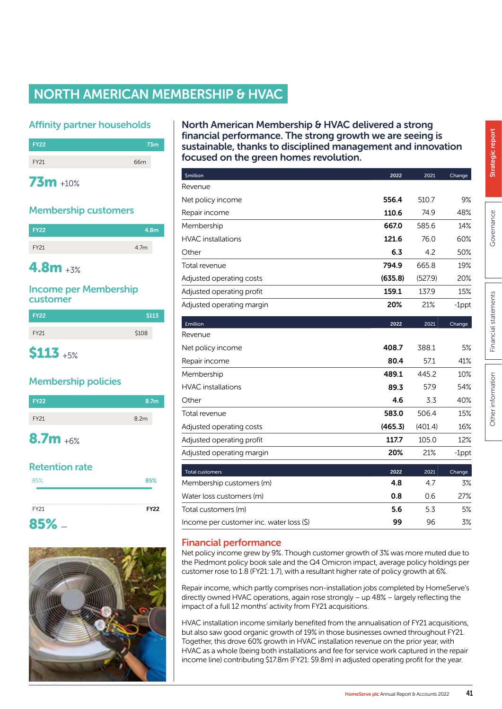# NORTH AMERICAN MEMBERSHIP & HVAC

#### Affinity partner households



#### Membership customers

| <b>FY22</b> | 4.8m |
|-------------|------|
| <b>FY21</b> | 4.7m |

# 4.8m +3%

#### Income per Membership customer

| <b>FY22</b> | \$113 |
|-------------|-------|
| <b>FY21</b> | \$108 |
| <b>S113</b> |       |

# Membership policies



# Retention rate

| 85%       | 85%         |
|-----------|-------------|
| FY21      | <b>FY22</b> |
| $85%$ $-$ |             |



#### North American Membership & HVAC delivered a strong financial performance. The strong growth we are seeing is sustainable, thanks to disciplined management and innovation focused on the green homes revolution.

| <b><i><u>Smillion</u></i></b>            | 2022    | 2021    | Change   |
|------------------------------------------|---------|---------|----------|
| Revenue                                  |         |         |          |
| Net policy income                        | 556.4   | 510.7   | 9%       |
| Repair income                            | 110.6   | 74.9    | 48%      |
| Membership                               | 667.0   | 585.6   | 14%      |
| <b>HVAC</b> installations                | 121.6   | 76.0    | 60%      |
| Other                                    | 6.3     | 4.2     | 50%      |
| Total revenue                            | 794.9   | 665.8   | 19%      |
| Adjusted operating costs                 | (635.8) | (527.9) | 20%      |
| Adjusted operating profit                | 159.1   | 137.9   | 15%      |
| Adjusted operating margin                | 20%     | 21%     | $-1$ ppt |
| <b>£million</b>                          | 2022    | 2021    | Change   |
| Revenue                                  |         |         |          |
| Net policy income                        | 408.7   | 388.1   | 5%       |
| Repair income                            | 80.4    | 57.1    | 41%      |
| Membership                               | 489.1   | 445.2   | 10%      |
| <b>HVAC</b> installations                | 89.3    | 57.9    | 54%      |
| Other                                    | 4.6     | 3.3     | 40%      |
| Total revenue                            | 583.0   | 506.4   | 15%      |
| Adjusted operating costs                 | (465.3) | (401.4) | 16%      |
| Adjusted operating profit                | 117.7   | 105.0   | 12%      |
| Adjusted operating margin                | 20%     | 21%     | $-1$ ppt |
| <b>Total customers</b>                   | 2022    | 2021    | Change   |
| Membership customers (m)                 | 4.8     | 4.7     | 3%       |
| Water loss customers (m)                 | 0.8     | 0.6     | 27%      |
| Total customers (m)                      | 5.6     | 5.3     | 5%       |
| Income per customer inc. water loss (\$) | 99      | 96      | 3%       |

# Financial performance

Net policy income grew by 9%. Though customer growth of 3% was more muted due to the Piedmont policy book sale and the Q4 Omicron impact, average policy holdings per customer rose to 1.8 (FY21: 1.7), with a resultant higher rate of policy growth at 6%.

Repair income, which partly comprises non-installation jobs completed by HomeServe's directly owned HVAC operations, again rose strongly – up 48% – largely reflecting the impact of a full 12 months' activity from FY21 acquisitions.

HVAC installation income similarly benefited from the annualisation of FY21 acquisitions, but also saw good organic growth of 19% in those businesses owned throughout FY21. Together, this drove 60% growth in HVAC installation revenue on the prior year, with HVAC as a whole (being both installations and fee for service work captured in the repair income line) contributing \$17.8m (FY21: \$9.8m) in adjusted operating profit for the year.